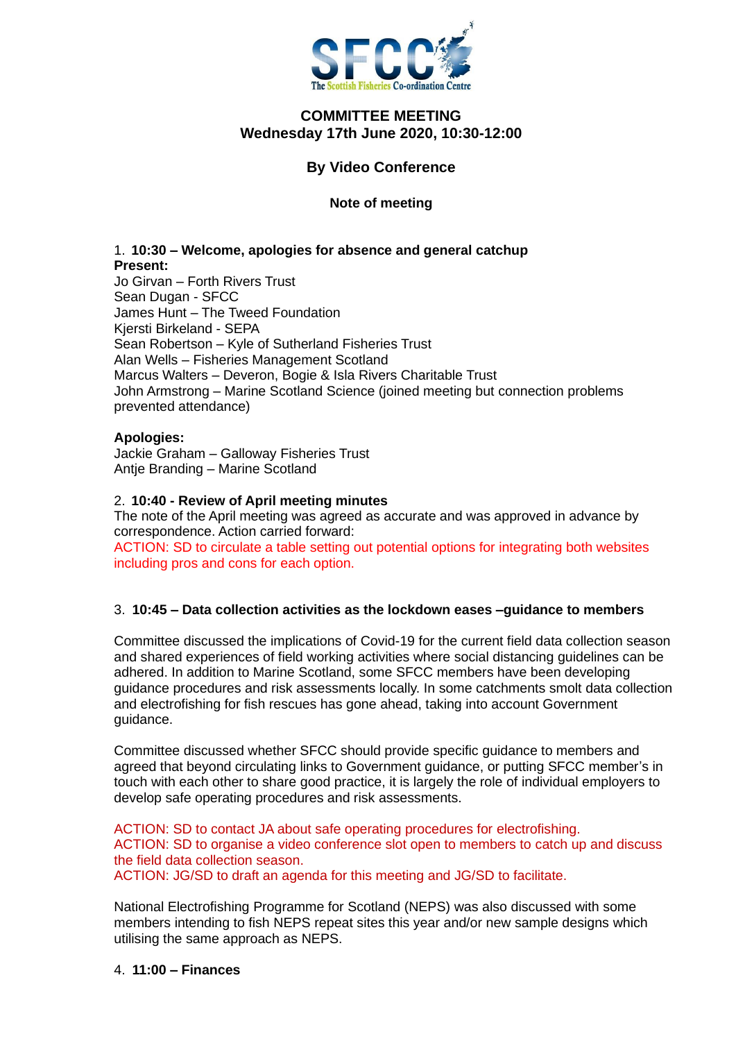

## **COMMITTEE MEETING Wednesday 17th June 2020, 10:30-12:00**

# **By Video Conference**

**Note of meeting**

# 1. **10:30 – Welcome, apologies for absence and general catchup Present:**

Jo Girvan – Forth Rivers Trust Sean Dugan - SFCC James Hunt – The Tweed Foundation Kjersti Birkeland - SEPA Sean Robertson – Kyle of Sutherland Fisheries Trust Alan Wells – Fisheries Management Scotland Marcus Walters – Deveron, Bogie & Isla Rivers Charitable Trust John Armstrong – Marine Scotland Science (joined meeting but connection problems prevented attendance)

### **Apologies:**

Jackie Graham – Galloway Fisheries Trust Antie Branding – Marine Scotland

### 2. **10:40 - Review of April meeting minutes**

The note of the April meeting was agreed as accurate and was approved in advance by correspondence. Action carried forward:

ACTION: SD to circulate a table setting out potential options for integrating both websites including pros and cons for each option.

## 3. **10:45 – Data collection activities as the lockdown eases –guidance to members**

Committee discussed the implications of Covid-19 for the current field data collection season and shared experiences of field working activities where social distancing guidelines can be adhered. In addition to Marine Scotland, some SFCC members have been developing guidance procedures and risk assessments locally. In some catchments smolt data collection and electrofishing for fish rescues has gone ahead, taking into account Government guidance.

Committee discussed whether SFCC should provide specific guidance to members and agreed that beyond circulating links to Government guidance, or putting SFCC member's in touch with each other to share good practice, it is largely the role of individual employers to develop safe operating procedures and risk assessments.

ACTION: SD to contact JA about safe operating procedures for electrofishing. ACTION: SD to organise a video conference slot open to members to catch up and discuss the field data collection season. ACTION: JG/SD to draft an agenda for this meeting and JG/SD to facilitate.

National Electrofishing Programme for Scotland (NEPS) was also discussed with some members intending to fish NEPS repeat sites this year and/or new sample designs which utilising the same approach as NEPS.

4. **11:00 – Finances**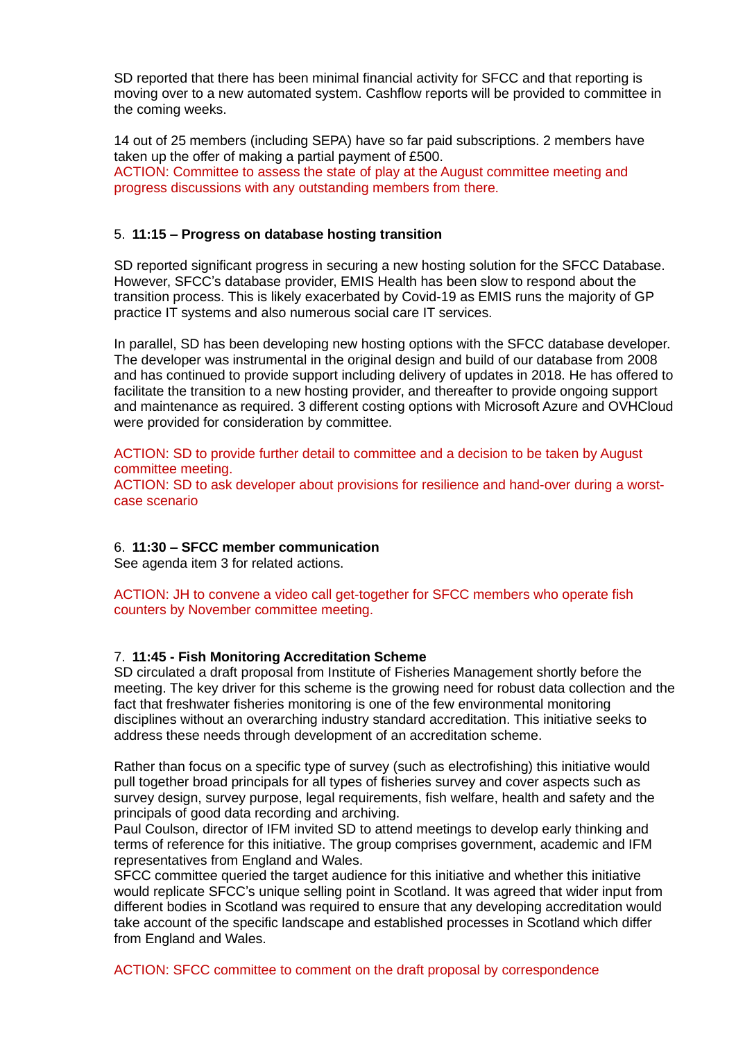SD reported that there has been minimal financial activity for SFCC and that reporting is moving over to a new automated system. Cashflow reports will be provided to committee in the coming weeks.

14 out of 25 members (including SEPA) have so far paid subscriptions. 2 members have taken up the offer of making a partial payment of £500. ACTION: Committee to assess the state of play at the August committee meeting and progress discussions with any outstanding members from there.

#### 5. **11:15 – Progress on database hosting transition**

SD reported significant progress in securing a new hosting solution for the SFCC Database. However, SFCC's database provider, EMIS Health has been slow to respond about the transition process. This is likely exacerbated by Covid-19 as EMIS runs the majority of GP practice IT systems and also numerous social care IT services.

In parallel, SD has been developing new hosting options with the SFCC database developer. The developer was instrumental in the original design and build of our database from 2008 and has continued to provide support including delivery of updates in 2018. He has offered to facilitate the transition to a new hosting provider, and thereafter to provide ongoing support and maintenance as required. 3 different costing options with Microsoft Azure and OVHCloud were provided for consideration by committee.

ACTION: SD to provide further detail to committee and a decision to be taken by August committee meeting. ACTION: SD to ask developer about provisions for resilience and hand-over during a worstcase scenario

#### 6. **11:30 – SFCC member communication**

See agenda item 3 for related actions.

ACTION: JH to convene a video call get-together for SFCC members who operate fish counters by November committee meeting.

#### 7. **11:45 - Fish Monitoring Accreditation Scheme**

SD circulated a draft proposal from Institute of Fisheries Management shortly before the meeting. The key driver for this scheme is the growing need for robust data collection and the fact that freshwater fisheries monitoring is one of the few environmental monitoring disciplines without an overarching industry standard accreditation. This initiative seeks to address these needs through development of an accreditation scheme.

Rather than focus on a specific type of survey (such as electrofishing) this initiative would pull together broad principals for all types of fisheries survey and cover aspects such as survey design, survey purpose, legal requirements, fish welfare, health and safety and the principals of good data recording and archiving.

Paul Coulson, director of IFM invited SD to attend meetings to develop early thinking and terms of reference for this initiative. The group comprises government, academic and IFM representatives from England and Wales.

SFCC committee queried the target audience for this initiative and whether this initiative would replicate SFCC's unique selling point in Scotland. It was agreed that wider input from different bodies in Scotland was required to ensure that any developing accreditation would take account of the specific landscape and established processes in Scotland which differ from England and Wales.

ACTION: SFCC committee to comment on the draft proposal by correspondence